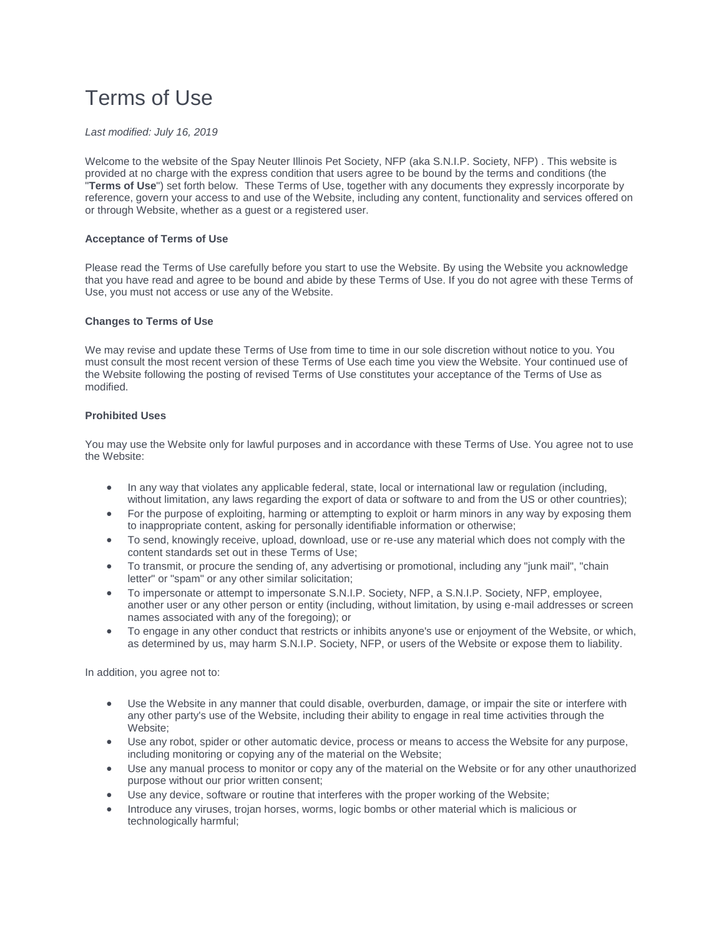# Terms of Use

## *Last modified: July 16, 2019*

Welcome to the website of the Spay Neuter Illinois Pet Society, NFP (aka S.N.I.P. Society, NFP) . This website is provided at no charge with the express condition that users agree to be bound by the terms and conditions (the "**Terms of Use**") set forth below. These Terms of Use, together with any documents they expressly incorporate by reference, govern your access to and use of the Website, including any content, functionality and services offered on or through Website, whether as a guest or a registered user.

## **Acceptance of Terms of Use**

Please read the Terms of Use carefully before you start to use the Website. By using the Website you acknowledge that you have read and agree to be bound and abide by these Terms of Use. If you do not agree with these Terms of Use, you must not access or use any of the Website.

## **Changes to Terms of Use**

We may revise and update these Terms of Use from time to time in our sole discretion without notice to you. You must consult the most recent version of these Terms of Use each time you view the Website. Your continued use of the Website following the posting of revised Terms of Use constitutes your acceptance of the Terms of Use as modified.

## **Prohibited Uses**

You may use the Website only for lawful purposes and in accordance with these Terms of Use. You agree not to use the Website:

- In any way that violates any applicable federal, state, local or international law or regulation (including, without limitation, any laws regarding the export of data or software to and from the US or other countries);
- For the purpose of exploiting, harming or attempting to exploit or harm minors in any way by exposing them to inappropriate content, asking for personally identifiable information or otherwise;
- To send, knowingly receive, upload, download, use or re-use any material which does not comply with the content standards set out in these Terms of Use;
- To transmit, or procure the sending of, any advertising or promotional, including any "junk mail", "chain letter" or "spam" or any other similar solicitation;
- To impersonate or attempt to impersonate S.N.I.P. Society, NFP, a S.N.I.P. Society, NFP, employee, another user or any other person or entity (including, without limitation, by using e-mail addresses or screen names associated with any of the foregoing); or
- To engage in any other conduct that restricts or inhibits anyone's use or enjoyment of the Website, or which, as determined by us, may harm S.N.I.P. Society, NFP, or users of the Website or expose them to liability.

In addition, you agree not to:

- Use the Website in any manner that could disable, overburden, damage, or impair the site or interfere with any other party's use of the Website, including their ability to engage in real time activities through the Website;
- Use any robot, spider or other automatic device, process or means to access the Website for any purpose, including monitoring or copying any of the material on the Website;
- Use any manual process to monitor or copy any of the material on the Website or for any other unauthorized purpose without our prior written consent;
- Use any device, software or routine that interferes with the proper working of the Website;
- Introduce any viruses, trojan horses, worms, logic bombs or other material which is malicious or technologically harmful;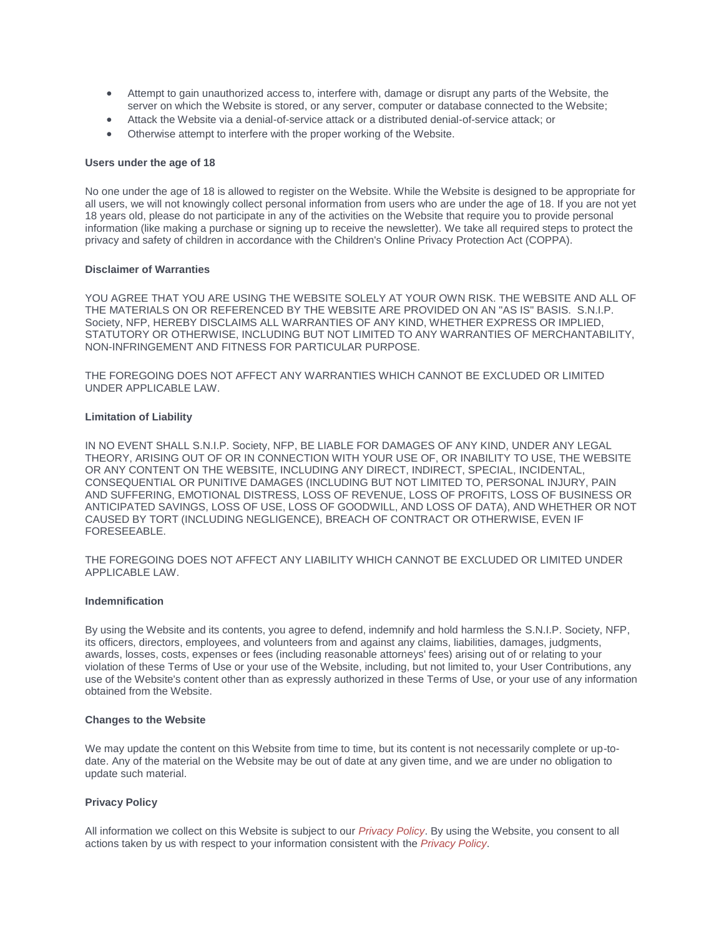- Attempt to gain unauthorized access to, interfere with, damage or disrupt any parts of the Website, the server on which the Website is stored, or any server, computer or database connected to the Website;
- Attack the Website via a denial-of-service attack or a distributed denial-of-service attack; or
- Otherwise attempt to interfere with the proper working of the Website.

## **Users under the age of 18**

No one under the age of 18 is allowed to register on the Website. While the Website is designed to be appropriate for all users, we will not knowingly collect personal information from users who are under the age of 18. If you are not yet 18 years old, please do not participate in any of the activities on the Website that require you to provide personal information (like making a purchase or signing up to receive the newsletter). We take all required steps to protect the privacy and safety of children in accordance with the Children's Online Privacy Protection Act (COPPA).

#### **Disclaimer of Warranties**

YOU AGREE THAT YOU ARE USING THE WEBSITE SOLELY AT YOUR OWN RISK. THE WEBSITE AND ALL OF THE MATERIALS ON OR REFERENCED BY THE WEBSITE ARE PROVIDED ON AN "AS IS" BASIS. S.N.I.P. Society, NFP, HEREBY DISCLAIMS ALL WARRANTIES OF ANY KIND, WHETHER EXPRESS OR IMPLIED, STATUTORY OR OTHERWISE, INCLUDING BUT NOT LIMITED TO ANY WARRANTIES OF MERCHANTABILITY, NON-INFRINGEMENT AND FITNESS FOR PARTICULAR PURPOSE.

THE FOREGOING DOES NOT AFFECT ANY WARRANTIES WHICH CANNOT BE EXCLUDED OR LIMITED UNDER APPLICABLE LAW.

## **Limitation of Liability**

IN NO EVENT SHALL S.N.I.P. Society, NFP, BE LIABLE FOR DAMAGES OF ANY KIND, UNDER ANY LEGAL THEORY, ARISING OUT OF OR IN CONNECTION WITH YOUR USE OF, OR INABILITY TO USE, THE WEBSITE OR ANY CONTENT ON THE WEBSITE, INCLUDING ANY DIRECT, INDIRECT, SPECIAL, INCIDENTAL, CONSEQUENTIAL OR PUNITIVE DAMAGES (INCLUDING BUT NOT LIMITED TO, PERSONAL INJURY, PAIN AND SUFFERING, EMOTIONAL DISTRESS, LOSS OF REVENUE, LOSS OF PROFITS, LOSS OF BUSINESS OR ANTICIPATED SAVINGS, LOSS OF USE, LOSS OF GOODWILL, AND LOSS OF DATA), AND WHETHER OR NOT CAUSED BY TORT (INCLUDING NEGLIGENCE), BREACH OF CONTRACT OR OTHERWISE, EVEN IF FORESEEABLE.

THE FOREGOING DOES NOT AFFECT ANY LIABILITY WHICH CANNOT BE EXCLUDED OR LIMITED UNDER APPLICABLE LAW.

## **Indemnification**

By using the Website and its contents, you agree to defend, indemnify and hold harmless the S.N.I.P. Society, NFP, its officers, directors, employees, and volunteers from and against any claims, liabilities, damages, judgments, awards, losses, costs, expenses or fees (including reasonable attorneys' fees) arising out of or relating to your violation of these Terms of Use or your use of the Website, including, but not limited to, your User Contributions, any use of the Website's content other than as expressly authorized in these Terms of Use, or your use of any information obtained from the Website.

#### **Changes to the Website**

We may update the content on this Website from time to time, but its content is not necessarily complete or up-todate. Any of the material on the Website may be out of date at any given time, and we are under no obligation to update such material.

#### **Privacy Policy**

All information we collect on this Website is subject to our *[Privacy Policy](https://wiregrassspayneuter.org/privacy-policy)*. By using the Website, you consent to all actions taken by us with respect to your information consistent with the *[Privacy Policy](https://wiregrassspayneuter.org/privacy-policy)*.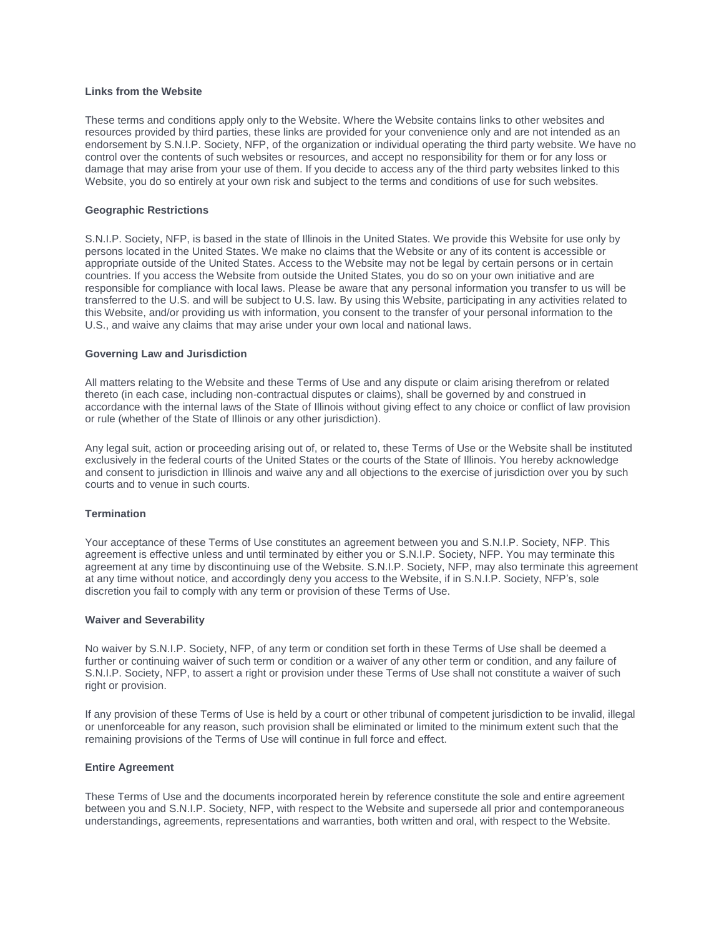## **Links from the Website**

These terms and conditions apply only to the Website. Where the Website contains links to other websites and resources provided by third parties, these links are provided for your convenience only and are not intended as an endorsement by S.N.I.P. Society, NFP, of the organization or individual operating the third party website. We have no control over the contents of such websites or resources, and accept no responsibility for them or for any loss or damage that may arise from your use of them. If you decide to access any of the third party websites linked to this Website, you do so entirely at your own risk and subject to the terms and conditions of use for such websites.

## **Geographic Restrictions**

S.N.I.P. Society, NFP, is based in the state of Illinois in the United States. We provide this Website for use only by persons located in the United States. We make no claims that the Website or any of its content is accessible or appropriate outside of the United States. Access to the Website may not be legal by certain persons or in certain countries. If you access the Website from outside the United States, you do so on your own initiative and are responsible for compliance with local laws. Please be aware that any personal information you transfer to us will be transferred to the U.S. and will be subject to U.S. law. By using this Website, participating in any activities related to this Website, and/or providing us with information, you consent to the transfer of your personal information to the U.S., and waive any claims that may arise under your own local and national laws.

## **Governing Law and Jurisdiction**

All matters relating to the Website and these Terms of Use and any dispute or claim arising therefrom or related thereto (in each case, including non-contractual disputes or claims), shall be governed by and construed in accordance with the internal laws of the State of Illinois without giving effect to any choice or conflict of law provision or rule (whether of the State of Illinois or any other jurisdiction).

Any legal suit, action or proceeding arising out of, or related to, these Terms of Use or the Website shall be instituted exclusively in the federal courts of the United States or the courts of the State of Illinois. You hereby acknowledge and consent to jurisdiction in Illinois and waive any and all objections to the exercise of jurisdiction over you by such courts and to venue in such courts.

## **Termination**

Your acceptance of these Terms of Use constitutes an agreement between you and S.N.I.P. Society, NFP. This agreement is effective unless and until terminated by either you or S.N.I.P. Society, NFP. You may terminate this agreement at any time by discontinuing use of the Website. S.N.I.P. Society, NFP, may also terminate this agreement at any time without notice, and accordingly deny you access to the Website, if in S.N.I.P. Society, NFP's, sole discretion you fail to comply with any term or provision of these Terms of Use.

#### **Waiver and Severability**

No waiver by S.N.I.P. Society, NFP, of any term or condition set forth in these Terms of Use shall be deemed a further or continuing waiver of such term or condition or a waiver of any other term or condition, and any failure of S.N.I.P. Society, NFP, to assert a right or provision under these Terms of Use shall not constitute a waiver of such right or provision.

If any provision of these Terms of Use is held by a court or other tribunal of competent jurisdiction to be invalid, illegal or unenforceable for any reason, such provision shall be eliminated or limited to the minimum extent such that the remaining provisions of the Terms of Use will continue in full force and effect.

#### **Entire Agreement**

These Terms of Use and the documents incorporated herein by reference constitute the sole and entire agreement between you and S.N.I.P. Society, NFP, with respect to the Website and supersede all prior and contemporaneous understandings, agreements, representations and warranties, both written and oral, with respect to the Website.